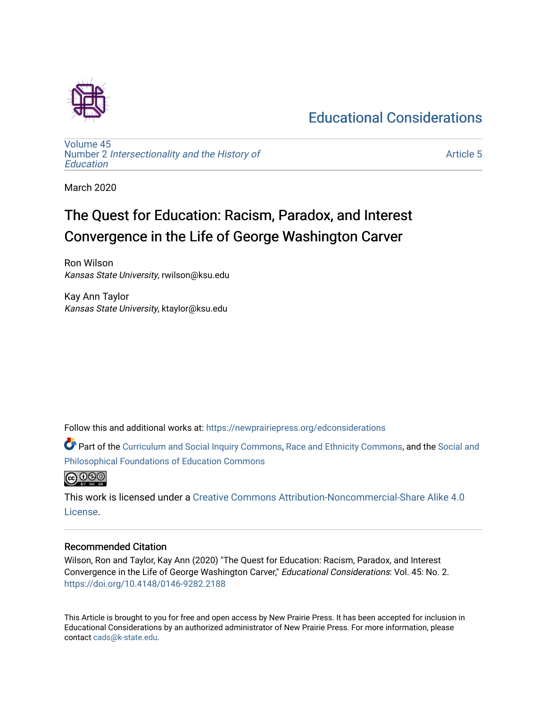# [Educational Considerations](https://newprairiepress.org/edconsiderations)



[Volume 45](https://newprairiepress.org/edconsiderations/vol45) Number 2 [Intersectionality and the History of](https://newprairiepress.org/edconsiderations/vol45/iss2)  **Education** 

[Article 5](https://newprairiepress.org/edconsiderations/vol45/iss2/5) 

March 2020

# The Quest for Education: Racism, Paradox, and Interest Convergence in the Life of George Washington Carver

Ron Wilson Kansas State University, rwilson@ksu.edu

Kay Ann Taylor Kansas State University, ktaylor@ksu.edu

Follow this and additional works at: [https://newprairiepress.org/edconsiderations](https://newprairiepress.org/edconsiderations?utm_source=newprairiepress.org%2Fedconsiderations%2Fvol45%2Fiss2%2F5&utm_medium=PDF&utm_campaign=PDFCoverPages) 

Part of the [Curriculum and Social Inquiry Commons,](http://network.bepress.com/hgg/discipline/1038?utm_source=newprairiepress.org%2Fedconsiderations%2Fvol45%2Fiss2%2F5&utm_medium=PDF&utm_campaign=PDFCoverPages) [Race and Ethnicity Commons,](http://network.bepress.com/hgg/discipline/426?utm_source=newprairiepress.org%2Fedconsiderations%2Fvol45%2Fiss2%2F5&utm_medium=PDF&utm_campaign=PDFCoverPages) and the [Social and](http://network.bepress.com/hgg/discipline/799?utm_source=newprairiepress.org%2Fedconsiderations%2Fvol45%2Fiss2%2F5&utm_medium=PDF&utm_campaign=PDFCoverPages)  [Philosophical Foundations of Education Commons](http://network.bepress.com/hgg/discipline/799?utm_source=newprairiepress.org%2Fedconsiderations%2Fvol45%2Fiss2%2F5&utm_medium=PDF&utm_campaign=PDFCoverPages) 



This work is licensed under a [Creative Commons Attribution-Noncommercial-Share Alike 4.0](https://creativecommons.org/licenses/by-nc-sa/4.0/) [License.](https://creativecommons.org/licenses/by-nc-sa/4.0/)

#### Recommended Citation

Wilson, Ron and Taylor, Kay Ann (2020) "The Quest for Education: Racism, Paradox, and Interest Convergence in the Life of George Washington Carver," Educational Considerations: Vol. 45: No. 2. <https://doi.org/10.4148/0146-9282.2188>

This Article is brought to you for free and open access by New Prairie Press. It has been accepted for inclusion in Educational Considerations by an authorized administrator of New Prairie Press. For more information, please contact [cads@k-state.edu](mailto:cads@k-state.edu).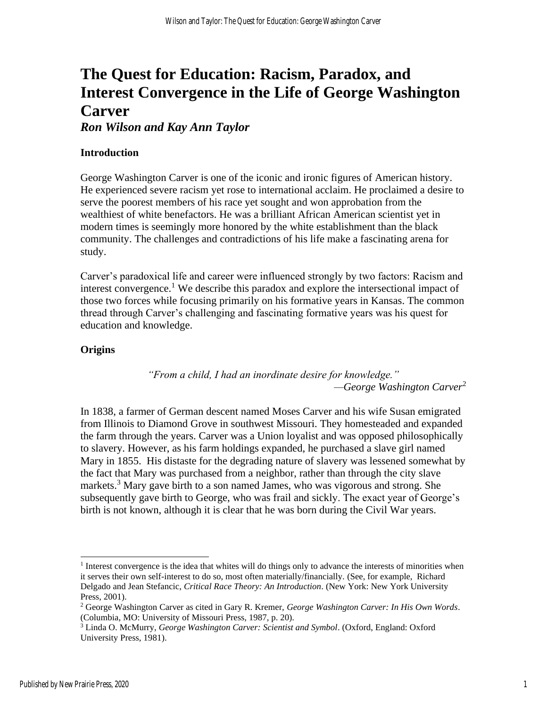# **The Quest for Education: Racism, Paradox, and Interest Convergence in the Life of George Washington Carver**

*Ron Wilson and Kay Ann Taylor*

## **Introduction**

George Washington Carver is one of the iconic and ironic figures of American history. He experienced severe racism yet rose to international acclaim. He proclaimed a desire to serve the poorest members of his race yet sought and won approbation from the wealthiest of white benefactors. He was a brilliant African American scientist yet in modern times is seemingly more honored by the white establishment than the black community. The challenges and contradictions of his life make a fascinating arena for study.

Carver's paradoxical life and career were influenced strongly by two factors: Racism and interest convergence.<sup>1</sup> We describe this paradox and explore the intersectional impact of those two forces while focusing primarily on his formative years in Kansas. The common thread through Carver's challenging and fascinating formative years was his quest for education and knowledge.

### **Origins**

*"From a child, I had an inordinate desire for knowledge." —George Washington Carver*<sup>2</sup>

In 1838, a farmer of German descent named Moses Carver and his wife Susan emigrated from Illinois to Diamond Grove in southwest Missouri. They homesteaded and expanded the farm through the years. Carver was a Union loyalist and was opposed philosophically to slavery. However, as his farm holdings expanded, he purchased a slave girl named Mary in 1855. His distaste for the degrading nature of slavery was lessened somewhat by the fact that Mary was purchased from a neighbor, rather than through the city slave markets.<sup>3</sup> Mary gave birth to a son named James, who was vigorous and strong. She subsequently gave birth to George, who was frail and sickly. The exact year of George's birth is not known, although it is clear that he was born during the Civil War years.

<sup>&</sup>lt;sup>1</sup> Interest convergence is the idea that whites will do things only to advance the interests of minorities when it serves their own self-interest to do so, most often materially/financially. (See, for example, Richard Delgado and Jean Stefancic, *Critical Race Theory: An Introduction*. (New York: New York University Press, 2001).

<sup>2</sup> George Washington Carver as cited in Gary R. Kremer, *George Washington Carver: In His Own Words*. (Columbia, MO: University of Missouri Press, 1987, p. 20).

<sup>3</sup> Linda O. McMurry, *George Washington Carver: Scientist and Symbol*. (Oxford, England: Oxford University Press, 1981).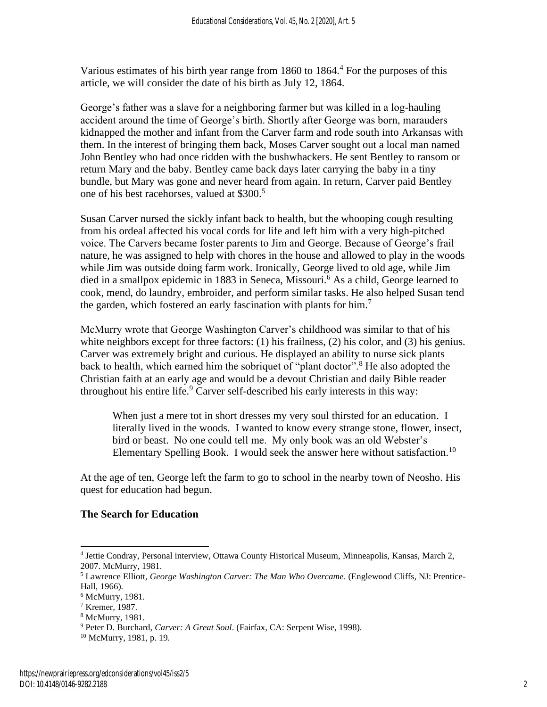Various estimates of his birth year range from 1860 to 1864.<sup>4</sup> For the purposes of this article, we will consider the date of his birth as July 12, 1864.

George's father was a slave for a neighboring farmer but was killed in a log-hauling accident around the time of George's birth. Shortly after George was born, marauders kidnapped the mother and infant from the Carver farm and rode south into Arkansas with them. In the interest of bringing them back, Moses Carver sought out a local man named John Bentley who had once ridden with the bushwhackers. He sent Bentley to ransom or return Mary and the baby. Bentley came back days later carrying the baby in a tiny bundle, but Mary was gone and never heard from again. In return, Carver paid Bentley one of his best racehorses, valued at \$300.<sup>5</sup>

Susan Carver nursed the sickly infant back to health, but the whooping cough resulting from his ordeal affected his vocal cords for life and left him with a very high-pitched voice. The Carvers became foster parents to Jim and George. Because of George's frail nature, he was assigned to help with chores in the house and allowed to play in the woods while Jim was outside doing farm work. Ironically, George lived to old age, while Jim died in a smallpox epidemic in 1883 in Seneca, Missouri.<sup>6</sup> As a child, George learned to cook, mend, do laundry, embroider, and perform similar tasks. He also helped Susan tend the garden, which fostered an early fascination with plants for him.<sup>7</sup>

McMurry wrote that George Washington Carver's childhood was similar to that of his white neighbors except for three factors: (1) his frailness, (2) his color, and (3) his genius. Carver was extremely bright and curious. He displayed an ability to nurse sick plants back to health, which earned him the sobriquet of "plant doctor".<sup>8</sup> He also adopted the Christian faith at an early age and would be a devout Christian and daily Bible reader throughout his entire life. $9$  Carver self-described his early interests in this way:

When just a mere tot in short dresses my very soul thirsted for an education. I literally lived in the woods. I wanted to know every strange stone, flower, insect, bird or beast. No one could tell me. My only book was an old Webster's Elementary Spelling Book. I would seek the answer here without satisfaction.<sup>10</sup>

At the age of ten, George left the farm to go to school in the nearby town of Neosho. His quest for education had begun.

# **The Search for Education**

<sup>4</sup> Jettie Condray, Personal interview, Ottawa County Historical Museum, Minneapolis, Kansas, March 2, 2007. McMurry, 1981.

<sup>5</sup> Lawrence Elliott, *George Washington Carver: The Man Who Overcame*. (Englewood Cliffs, NJ: Prentice-Hall, 1966).

<sup>6</sup> McMurry, 1981.

<sup>7</sup> Kremer, 1987.

<sup>8</sup> McMurry, 1981.

<sup>9</sup> Peter D. Burchard, *Carver: A Great Soul*. (Fairfax, CA: Serpent Wise, 1998).

<sup>10</sup> McMurry, 1981, p. 19.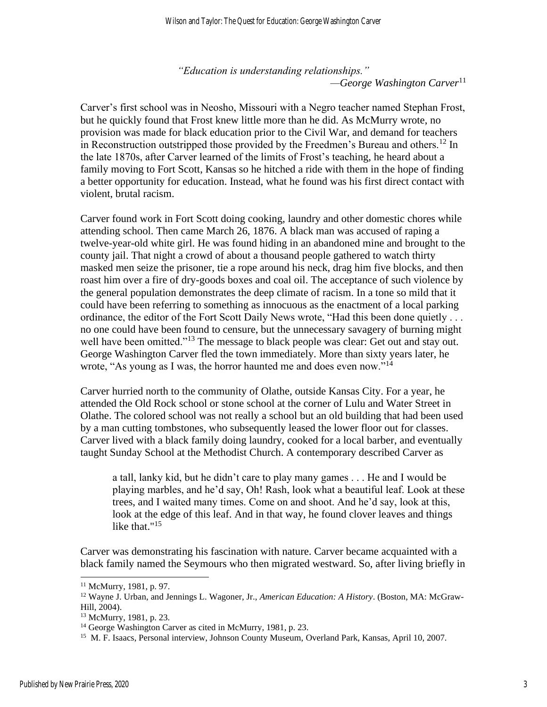*"Education is understanding relationships." —George Washington Carver*<sup>11</sup>

Carver's first school was in Neosho, Missouri with a Negro teacher named Stephan Frost, but he quickly found that Frost knew little more than he did. As McMurry wrote, no provision was made for black education prior to the Civil War, and demand for teachers in Reconstruction outstripped those provided by the Freedmen's Bureau and others.<sup>12</sup> In the late 1870s, after Carver learned of the limits of Frost's teaching, he heard about a family moving to Fort Scott, Kansas so he hitched a ride with them in the hope of finding a better opportunity for education. Instead, what he found was his first direct contact with violent, brutal racism.

Carver found work in Fort Scott doing cooking, laundry and other domestic chores while attending school. Then came March 26, 1876. A black man was accused of raping a twelve-year-old white girl. He was found hiding in an abandoned mine and brought to the county jail. That night a crowd of about a thousand people gathered to watch thirty masked men seize the prisoner, tie a rope around his neck, drag him five blocks, and then roast him over a fire of dry-goods boxes and coal oil. The acceptance of such violence by the general population demonstrates the deep climate of racism. In a tone so mild that it could have been referring to something as innocuous as the enactment of a local parking ordinance, the editor of the Fort Scott Daily News wrote, "Had this been done quietly . . . no one could have been found to censure, but the unnecessary savagery of burning might well have been omitted."<sup>13</sup> The message to black people was clear: Get out and stay out. George Washington Carver fled the town immediately. More than sixty years later, he wrote, "As young as I was, the horror haunted me and does even now."<sup>14</sup>

Carver hurried north to the community of Olathe, outside Kansas City. For a year, he attended the Old Rock school or stone school at the corner of Lulu and Water Street in Olathe. The colored school was not really a school but an old building that had been used by a man cutting tombstones, who subsequently leased the lower floor out for classes. Carver lived with a black family doing laundry, cooked for a local barber, and eventually taught Sunday School at the Methodist Church. A contemporary described Carver as

a tall, lanky kid, but he didn't care to play many games . . . He and I would be playing marbles, and he'd say, Oh! Rash, look what a beautiful leaf. Look at these trees, and I waited many times. Come on and shoot. And he'd say, look at this, look at the edge of this leaf. And in that way, he found clover leaves and things like that."<sup>15</sup>

Carver was demonstrating his fascination with nature. Carver became acquainted with a black family named the Seymours who then migrated westward. So, after living briefly in

<sup>11</sup> McMurry, 1981, p. 97.

<sup>12</sup> Wayne J. Urban, and Jennings L. Wagoner, Jr., *American Education: A History*. (Boston, MA: McGraw-Hill, 2004).

<sup>13</sup> McMurry, 1981, p. 23.

<sup>&</sup>lt;sup>14</sup> George Washington Carver as cited in McMurry, 1981, p. 23.

<sup>&</sup>lt;sup>15</sup> M. F. Isaacs, Personal interview, Johnson County Museum, Overland Park, Kansas, April 10, 2007.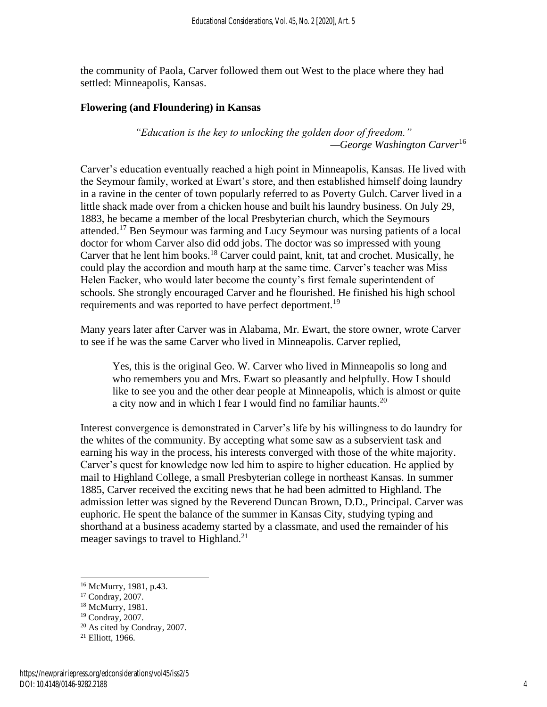the community of Paola, Carver followed them out West to the place where they had settled: Minneapolis, Kansas.

### **Flowering (and Floundering) in Kansas**

*"Education is the key to unlocking the golden door of freedom." —George Washington Carver*<sup>16</sup>

Carver's education eventually reached a high point in Minneapolis, Kansas. He lived with the Seymour family, worked at Ewart's store, and then established himself doing laundry in a ravine in the center of town popularly referred to as Poverty Gulch. Carver lived in a little shack made over from a chicken house and built his laundry business. On July 29, 1883, he became a member of the local Presbyterian church, which the Seymours attended.<sup>17</sup> Ben Seymour was farming and Lucy Seymour was nursing patients of a local doctor for whom Carver also did odd jobs. The doctor was so impressed with young Carver that he lent him books.<sup>18</sup> Carver could paint, knit, tat and crochet. Musically, he could play the accordion and mouth harp at the same time. Carver's teacher was Miss Helen Eacker, who would later become the county's first female superintendent of schools. She strongly encouraged Carver and he flourished. He finished his high school requirements and was reported to have perfect deportment.<sup>19</sup>

Many years later after Carver was in Alabama, Mr. Ewart, the store owner, wrote Carver to see if he was the same Carver who lived in Minneapolis. Carver replied,

Yes, this is the original Geo. W. Carver who lived in Minneapolis so long and who remembers you and Mrs. Ewart so pleasantly and helpfully. How I should like to see you and the other dear people at Minneapolis, which is almost or quite a city now and in which I fear I would find no familiar haunts.<sup>20</sup>

Interest convergence is demonstrated in Carver's life by his willingness to do laundry for the whites of the community. By accepting what some saw as a subservient task and earning his way in the process, his interests converged with those of the white majority. Carver's quest for knowledge now led him to aspire to higher education. He applied by mail to Highland College, a small Presbyterian college in northeast Kansas. In summer 1885, Carver received the exciting news that he had been admitted to Highland. The admission letter was signed by the Reverend Duncan Brown, D.D., Principal. Carver was euphoric. He spent the balance of the summer in Kansas City, studying typing and shorthand at a business academy started by a classmate, and used the remainder of his meager savings to travel to Highland.<sup>21</sup>

<sup>16</sup> McMurry, 1981, p.43.

<sup>17</sup> Condray, 2007.

<sup>&</sup>lt;sup>18</sup> McMurry, 1981.

<sup>19</sup> Condray, 2007.

<sup>20</sup> As cited by Condray, 2007.

<sup>21</sup> Elliott, 1966.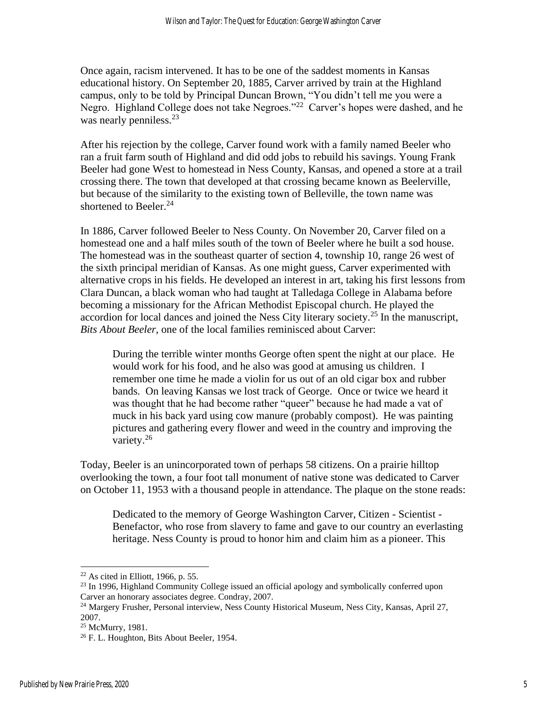Once again, racism intervened. It has to be one of the saddest moments in Kansas educational history. On September 20, 1885, Carver arrived by train at the Highland campus, only to be told by Principal Duncan Brown, "You didn't tell me you were a Negro. Highland College does not take Negroes."<sup>22</sup> Carver's hopes were dashed, and he was nearly penniless. $^{23}$ 

After his rejection by the college, Carver found work with a family named Beeler who ran a fruit farm south of Highland and did odd jobs to rebuild his savings. Young Frank Beeler had gone West to homestead in Ness County, Kansas, and opened a store at a trail crossing there. The town that developed at that crossing became known as Beelerville, but because of the similarity to the existing town of Belleville, the town name was shortened to Beeler. $^{24}$ 

In 1886, Carver followed Beeler to Ness County. On November 20, Carver filed on a homestead one and a half miles south of the town of Beeler where he built a sod house. The homestead was in the southeast quarter of section 4, township 10, range 26 west of the sixth principal meridian of Kansas. As one might guess, Carver experimented with alternative crops in his fields. He developed an interest in art, taking his first lessons from Clara Duncan, a black woman who had taught at Talledaga College in Alabama before becoming a missionary for the African Methodist Episcopal church. He played the accordion for local dances and joined the Ness City literary society.<sup>25</sup> In the manuscript, *Bits About Beeler*, one of the local families reminisced about Carver:

During the terrible winter months George often spent the night at our place. He would work for his food, and he also was good at amusing us children. I remember one time he made a violin for us out of an old cigar box and rubber bands. On leaving Kansas we lost track of George. Once or twice we heard it was thought that he had become rather "queer" because he had made a vat of muck in his back yard using cow manure (probably compost). He was painting pictures and gathering every flower and weed in the country and improving the variety.<sup>26</sup>

Today, Beeler is an unincorporated town of perhaps 58 citizens. On a prairie hilltop overlooking the town, a four foot tall monument of native stone was dedicated to Carver on October 11, 1953 with a thousand people in attendance. The plaque on the stone reads:

Dedicated to the memory of George Washington Carver, Citizen - Scientist - Benefactor, who rose from slavery to fame and gave to our country an everlasting heritage. Ness County is proud to honor him and claim him as a pioneer. This

 $22$  As cited in Elliott, 1966, p. 55.

<sup>&</sup>lt;sup>23</sup> In 1996, Highland Community College issued an official apology and symbolically conferred upon Carver an honorary associates degree. Condray, 2007.

<sup>&</sup>lt;sup>24</sup> Margery Frusher, Personal interview, Ness County Historical Museum, Ness City, Kansas, April 27, 2007.

<sup>&</sup>lt;sup>25</sup> McMurry, 1981.

<sup>26</sup> F. L. Houghton, Bits About Beeler, 1954.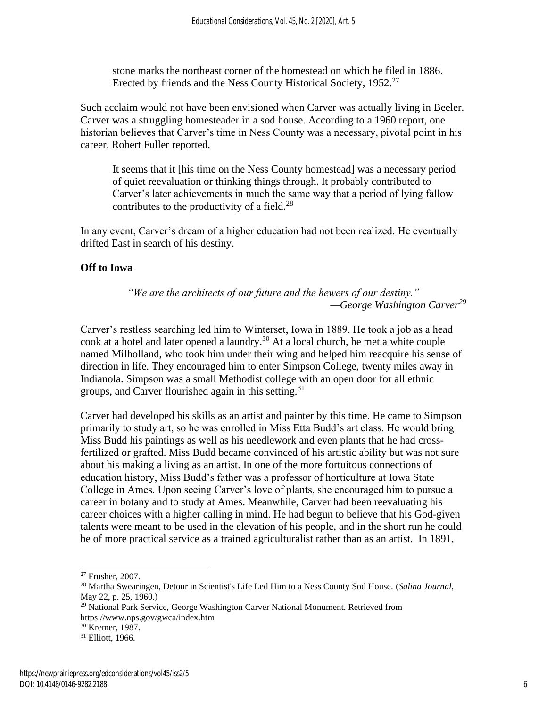stone marks the northeast corner of the homestead on which he filed in 1886. Erected by friends and the Ness County Historical Society, 1952.<sup>27</sup>

Such acclaim would not have been envisioned when Carver was actually living in Beeler. Carver was a struggling homesteader in a sod house. According to a 1960 report, one historian believes that Carver's time in Ness County was a necessary, pivotal point in his career. Robert Fuller reported,

It seems that it [his time on the Ness County homestead] was a necessary period of quiet reevaluation or thinking things through. It probably contributed to Carver's later achievements in much the same way that a period of lying fallow contributes to the productivity of a field. $^{28}$ 

In any event, Carver's dream of a higher education had not been realized. He eventually drifted East in search of his destiny.

# **Off to Iowa**

*"We are the architects of our future and the hewers of our destiny." —George Washington Carver<sup>29</sup>*

Carver's restless searching led him to Winterset, Iowa in 1889. He took a job as a head cook at a hotel and later opened a laundry.<sup>30</sup> At a local church, he met a white couple named Milholland, who took him under their wing and helped him reacquire his sense of direction in life. They encouraged him to enter Simpson College, twenty miles away in Indianola. Simpson was a small Methodist college with an open door for all ethnic groups, and Carver flourished again in this setting.<sup>31</sup>

Carver had developed his skills as an artist and painter by this time. He came to Simpson primarily to study art, so he was enrolled in Miss Etta Budd's art class. He would bring Miss Budd his paintings as well as his needlework and even plants that he had crossfertilized or grafted. Miss Budd became convinced of his artistic ability but was not sure about his making a living as an artist. In one of the more fortuitous connections of education history, Miss Budd's father was a professor of horticulture at Iowa State College in Ames. Upon seeing Carver's love of plants, she encouraged him to pursue a career in botany and to study at Ames. Meanwhile, Carver had been reevaluating his career choices with a higher calling in mind. He had begun to believe that his God-given talents were meant to be used in the elevation of his people, and in the short run he could be of more practical service as a trained agriculturalist rather than as an artist. In 1891,

<sup>27</sup> Frusher, 2007.

<sup>28</sup> Martha Swearingen, Detour in Scientist's Life Led Him to a Ness County Sod House. (*Salina Journal*, May 22, p. 25, 1960.)

<sup>&</sup>lt;sup>29</sup> National Park Service, George Washington Carver National Monument. Retrieved from https://www.nps.gov/gwca/index.htm

<sup>30</sup> Kremer, 1987.

<sup>31</sup> Elliott, 1966.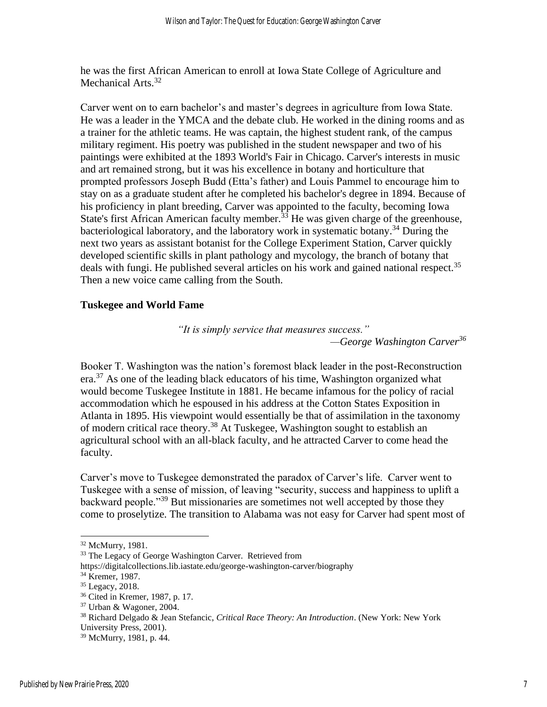he was the first African American to enroll at Iowa State College of Agriculture and Mechanical Arts.<sup>32</sup>

Carver went on to earn bachelor's and master's degrees in agriculture from Iowa State. He was a leader in the YMCA and the debate club. He worked in the dining rooms and as a trainer for the athletic teams. He was captain, the highest student rank, of the campus military regiment. His poetry was published in the student newspaper and two of his paintings were exhibited at the 1893 World's Fair in Chicago. Carver's interests in music and art remained strong, but it was his excellence in botany and horticulture that prompted professors Joseph Budd (Etta's father) and Louis Pammel to encourage him to stay on as a graduate student after he completed his bachelor's degree in 1894. Because of his proficiency in plant breeding, Carver was appointed to the faculty, becoming Iowa State's first African American faculty member.<sup>33</sup> He was given charge of the greenhouse, bacteriological laboratory, and the laboratory work in systematic botany.<sup>34</sup> During the next two years as assistant botanist for the College Experiment Station, Carver quickly developed scientific skills in plant pathology and mycology, the branch of botany that deals with fungi. He published several articles on his work and gained national respect.<sup>35</sup> Then a new voice came calling from the South.

#### **Tuskegee and World Fame**

*"It is simply service that measures success." —George Washington Carver<sup>36</sup>*

Booker T. Washington was the nation's foremost black leader in the post-Reconstruction  $era.<sup>37</sup>$  As one of the leading black educators of his time, Washington organized what would become Tuskegee Institute in 1881. He became infamous for the policy of racial accommodation which he espoused in his address at the Cotton States Exposition in Atlanta in 1895. His viewpoint would essentially be that of assimilation in the taxonomy of modern critical race theory.<sup>38</sup> At Tuskegee, Washington sought to establish an agricultural school with an all-black faculty, and he attracted Carver to come head the faculty.

Carver's move to Tuskegee demonstrated the paradox of Carver's life. Carver went to Tuskegee with a sense of mission, of leaving "security, success and happiness to uplift a backward people."<sup>39</sup> But missionaries are sometimes not well accepted by those they come to proselytize. The transition to Alabama was not easy for Carver had spent most of

<sup>32</sup> McMurry, 1981.

<sup>&</sup>lt;sup>33</sup> The Legacy of George Washington Carver. Retrieved from

https://digitalcollections.lib.iastate.edu/george-washington-carver/biography

<sup>34</sup> Kremer, 1987.

<sup>35</sup> Legacy, 2018.

<sup>36</sup> Cited in Kremer, 1987, p. 17.

<sup>37</sup> Urban & Wagoner, 2004.

<sup>38</sup> Richard Delgado & Jean Stefancic, *Critical Race Theory: An Introduction*. (New York: New York University Press, 2001).

<sup>39</sup> McMurry, 1981, p. 44.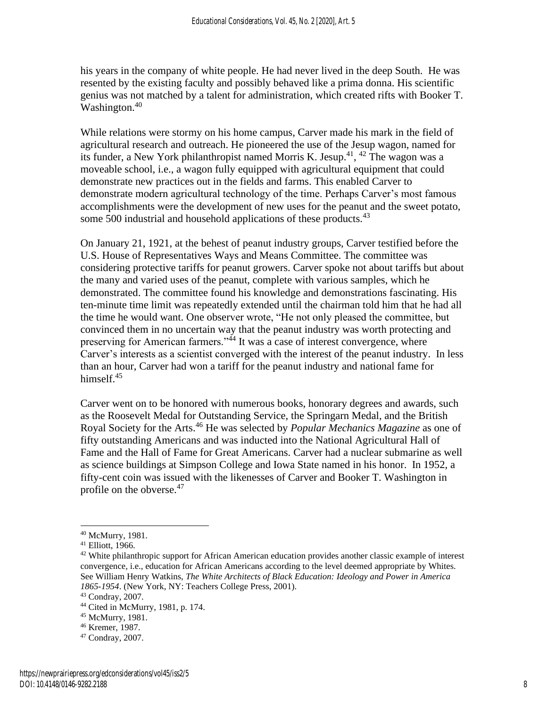his years in the company of white people. He had never lived in the deep South. He was resented by the existing faculty and possibly behaved like a prima donna. His scientific genius was not matched by a talent for administration, which created rifts with Booker T. Washington.<sup>40</sup>

While relations were stormy on his home campus, Carver made his mark in the field of agricultural research and outreach. He pioneered the use of the Jesup wagon, named for its funder, a New York philanthropist named Morris K. Jesup.<sup>41</sup>, <sup>42</sup> The wagon was a moveable school, i.e., a wagon fully equipped with agricultural equipment that could demonstrate new practices out in the fields and farms. This enabled Carver to demonstrate modern agricultural technology of the time. Perhaps Carver's most famous accomplishments were the development of new uses for the peanut and the sweet potato, some 500 industrial and household applications of these products.<sup>43</sup>

On January 21, 1921, at the behest of peanut industry groups, Carver testified before the U.S. House of Representatives Ways and Means Committee. The committee was considering protective tariffs for peanut growers. Carver spoke not about tariffs but about the many and varied uses of the peanut, complete with various samples, which he demonstrated. The committee found his knowledge and demonstrations fascinating. His ten-minute time limit was repeatedly extended until the chairman told him that he had all the time he would want. One observer wrote, "He not only pleased the committee, but convinced them in no uncertain way that the peanut industry was worth protecting and preserving for American farmers."<sup>44</sup> It was a case of interest convergence, where Carver's interests as a scientist converged with the interest of the peanut industry. In less than an hour, Carver had won a tariff for the peanut industry and national fame for himself.<sup>45</sup>

Carver went on to be honored with numerous books, honorary degrees and awards, such as the Roosevelt Medal for Outstanding Service, the Springarn Medal, and the British Royal Society for the Arts.<sup>46</sup> He was selected by *Popular Mechanics Magazine* as one of fifty outstanding Americans and was inducted into the National Agricultural Hall of Fame and the Hall of Fame for Great Americans. Carver had a nuclear submarine as well as science buildings at Simpson College and Iowa State named in his honor. In 1952, a fifty-cent coin was issued with the likenesses of Carver and Booker T. Washington in profile on the obverse.<sup>47</sup>

<sup>40</sup> McMurry, 1981.

<sup>41</sup> Elliott, 1966.

 $42$  White philanthropic support for African American education provides another classic example of interest convergence, i.e., education for African Americans according to the level deemed appropriate by Whites. See William Henry Watkins, *The White Architects of Black Education: Ideology and Power in America 1865-1954*. (New York, NY: Teachers College Press, 2001).

<sup>43</sup> Condray, 2007.

<sup>44</sup> Cited in McMurry, 1981, p. 174.

<sup>45</sup> McMurry, 1981.

<sup>46</sup> Kremer, 1987.

<sup>47</sup> Condray, 2007.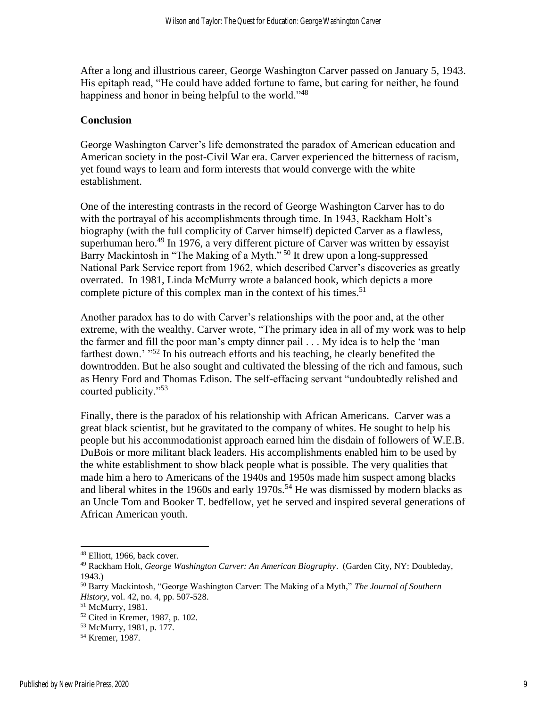After a long and illustrious career, George Washington Carver passed on January 5, 1943. His epitaph read, "He could have added fortune to fame, but caring for neither, he found happiness and honor in being helpful to the world."<sup>48</sup>

#### **Conclusion**

George Washington Carver's life demonstrated the paradox of American education and American society in the post-Civil War era. Carver experienced the bitterness of racism, yet found ways to learn and form interests that would converge with the white establishment.

One of the interesting contrasts in the record of George Washington Carver has to do with the portrayal of his accomplishments through time. In 1943, Rackham Holt's biography (with the full complicity of Carver himself) depicted Carver as a flawless, superhuman hero.<sup>49</sup> In 1976, a very different picture of Carver was written by essayist Barry Mackintosh in "The Making of a Myth."<sup>50</sup> It drew upon a long-suppressed National Park Service report from 1962, which described Carver's discoveries as greatly overrated. In 1981, Linda McMurry wrote a balanced book, which depicts a more complete picture of this complex man in the context of his times.<sup>51</sup>

Another paradox has to do with Carver's relationships with the poor and, at the other extreme, with the wealthy. Carver wrote, "The primary idea in all of my work was to help the farmer and fill the poor man's empty dinner pail . . . My idea is to help the 'man farthest down.' "<sup>52</sup> In his outreach efforts and his teaching, he clearly benefited the downtrodden. But he also sought and cultivated the blessing of the rich and famous, such as Henry Ford and Thomas Edison. The self-effacing servant "undoubtedly relished and courted publicity."<sup>53</sup>

Finally, there is the paradox of his relationship with African Americans. Carver was a great black scientist, but he gravitated to the company of whites. He sought to help his people but his accommodationist approach earned him the disdain of followers of W.E.B. DuBois or more militant black leaders. His accomplishments enabled him to be used by the white establishment to show black people what is possible. The very qualities that made him a hero to Americans of the 1940s and 1950s made him suspect among blacks and liberal whites in the 1960s and early 1970s.<sup>54</sup> He was dismissed by modern blacks as an Uncle Tom and Booker T. bedfellow, yet he served and inspired several generations of African American youth.

<sup>48</sup> Elliott, 1966, back cover.

<sup>49</sup> Rackham Holt, *George Washington Carver: An American Biography*. (Garden City, NY: Doubleday, 1943.)

<sup>50</sup> Barry Mackintosh, "George Washington Carver: The Making of a Myth," *The Journal of Southern History*, vol. 42, no. 4, pp. 507-528.

<sup>51</sup> McMurry, 1981.

<sup>52</sup> Cited in Kremer, 1987, p. 102.

<sup>53</sup> McMurry, 1981, p. 177.

<sup>54</sup> Kremer, 1987.